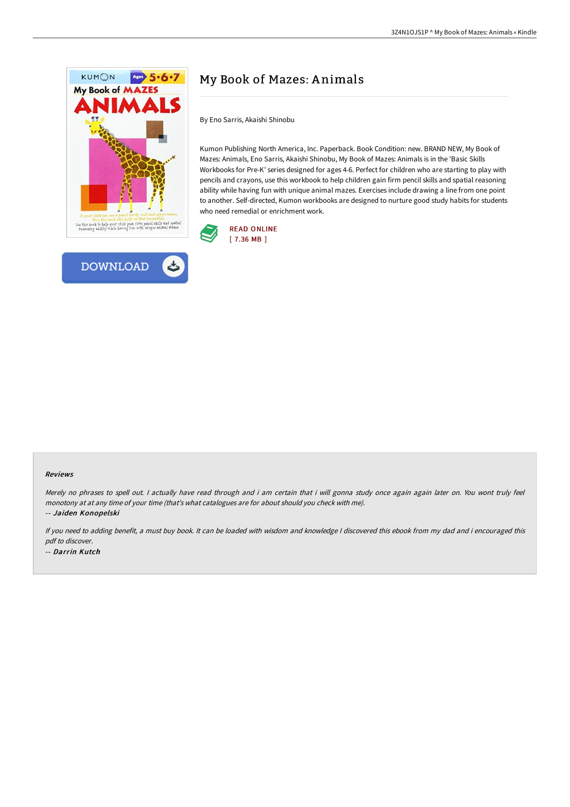



# My Book of Mazes: A nimals

By Eno Sarris, Akaishi Shinobu

Kumon Publishing North America, Inc. Paperback. Book Condition: new. BRAND NEW, My Book of Mazes: Animals, Eno Sarris, Akaishi Shinobu, My Book of Mazes: Animals is in the 'Basic Skills Workbooks for Pre-K' series designed for ages 4-6. Perfect for children who are starting to play with pencils and crayons, use this workbook to help children gain firm pencil skills and spatial reasoning ability while having fun with unique animal mazes. Exercises include drawing a line from one point to another. Self-directed, Kumon workbooks are designed to nurture good study habits for students who need remedial or enrichment work.



#### Reviews

Merely no phrases to spell out. <sup>I</sup> actually have read through and i am certain that i will gonna study once again again later on. You wont truly feel monotony at at any time of your time (that's what catalogues are for about should you check with me). -- Jaiden Konopelski

If you need to adding benefit, <sup>a</sup> must buy book. It can be loaded with wisdom and knowledge <sup>I</sup> discovered this ebook from my dad and i encouraged this pdf to discover. -- Darrin Kutch